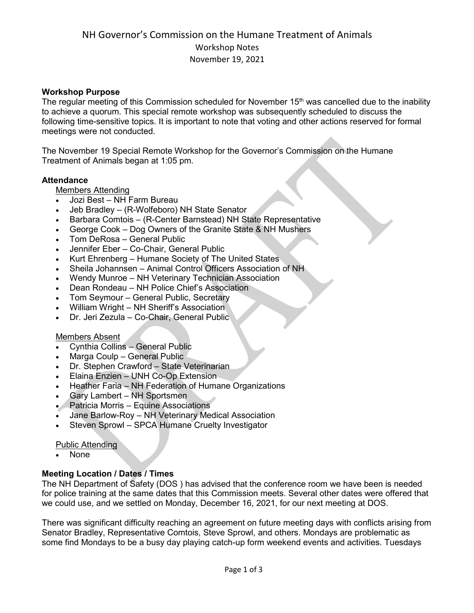## **Workshop Purpose**

The regular meeting of this Commission scheduled for November  $15<sup>th</sup>$  was cancelled due to the inability to achieve a quorum. This special remote workshop was subsequently scheduled to discuss the following time-sensitive topics. It is important to note that voting and other actions reserved for formal meetings were not conducted.

The November 19 Special Remote Workshop for the Governor's Commission on the Humane Treatment of Animals began at 1:05 pm.

## **Attendance**

Members Attending

- Jozi Best NH Farm Bureau
- Jeb Bradley (R-Wolfeboro) NH State Senator
- Barbara Comtois (R-Center Barnstead) NH State Representative
- George Cook Dog Owners of the Granite State & NH Mushers
- Tom DeRosa General Public
- Jennifer Eber Co-Chair, General Public
- Kurt Ehrenberg Humane Society of The United States
- Sheila Johannsen Animal Control Officers Association of NH
- Wendy Munroe NH Veterinary Technician Association
- Dean Rondeau NH Police Chief's Association
- Tom Seymour General Public, Secretary
- William Wright NH Sheriff's Association
- Dr. Jeri Zezula Co-Chair, General Public

## Members Absent

- Cynthia Collins General Public
- Marga Coulp General Public
- Dr. Stephen Crawford State Veterinarian
- Elaina Enzien UNH Co-Op Extension
- Heather Faria NH Federation of Humane Organizations
- Gary Lambert NH Sportsmen
- Patricia Morris Equine Associations
- Jane Barlow-Roy NH Veterinary Medical Association
- Steven Sprowl SPCA Humane Cruelty Investigator

## Public Attending

• None

## **Meeting Location / Dates / Times**

The NH Department of Safety (DOS ) has advised that the conference room we have been is needed for police training at the same dates that this Commission meets. Several other dates were offered that we could use, and we settled on Monday, December 16, 2021, for our next meeting at DOS.

There was significant difficulty reaching an agreement on future meeting days with conflicts arising from Senator Bradley, Representative Comtois, Steve Sprowl, and others. Mondays are problematic as some find Mondays to be a busy day playing catch-up form weekend events and activities. Tuesdays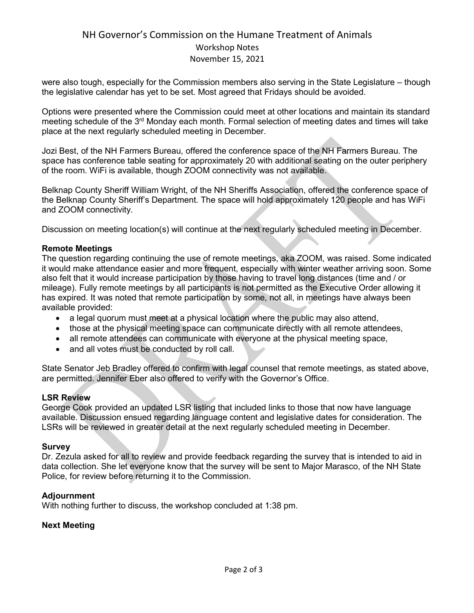## NH Governor's Commission on the Humane Treatment of Animals Workshop Notes November 15, 2021

were also tough, especially for the Commission members also serving in the State Legislature – though the legislative calendar has yet to be set. Most agreed that Fridays should be avoided.

Options were presented where the Commission could meet at other locations and maintain its standard meeting schedule of the 3rd Monday each month. Formal selection of meeting dates and times will take place at the next regularly scheduled meeting in December.

Jozi Best, of the NH Farmers Bureau, offered the conference space of the NH Farmers Bureau. The space has conference table seating for approximately 20 with additional seating on the outer periphery of the room. WiFi is available, though ZOOM connectivity was not available.

Belknap County Sheriff William Wright, of the NH Sheriffs Association, offered the conference space of the Belknap County Sheriff's Department. The space will hold approximately 120 people and has WiFi and ZOOM connectivity.

Discussion on meeting location(s) will continue at the next regularly scheduled meeting in December.

## **Remote Meetings**

The question regarding continuing the use of remote meetings, aka ZOOM, was raised. Some indicated it would make attendance easier and more frequent, especially with winter weather arriving soon. Some also felt that it would increase participation by those having to travel long distances (time and / or mileage). Fully remote meetings by all participants is not permitted as the Executive Order allowing it has expired. It was noted that remote participation by some, not all, in meetings have always been available provided:

- a legal quorum must meet at a physical location where the public may also attend,
- those at the physical meeting space can communicate directly with all remote attendees,
- all remote attendees can communicate with everyone at the physical meeting space,
- and all votes must be conducted by roll call.

State Senator Jeb Bradley offered to confirm with legal counsel that remote meetings, as stated above, are permitted. Jennifer Eber also offered to verify with the Governor's Office.

## **LSR Review**

George Cook provided an updated LSR listing that included links to those that now have language available. Discussion ensued regarding language content and legislative dates for consideration. The LSRs will be reviewed in greater detail at the next regularly scheduled meeting in December.

## **Survey**

Dr. Zezula asked for all to review and provide feedback regarding the survey that is intended to aid in data collection. She let everyone know that the survey will be sent to Major Marasco, of the NH State Police, for review before returning it to the Commission.

## **Adjournment**

With nothing further to discuss, the workshop concluded at 1:38 pm.

## **Next Meeting**